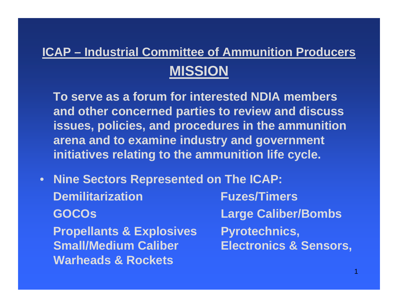# **ICAP – Industrial Committee of Ammunition Producers MISSION**

**To serve as a forum for interested NDIA members and other concerned parties to review and discuss issues, policies, and procedures in the ammunition arena and to examine industry and government initiatives relating to the ammunition life cycle.**

• **Nine Sectors Represented on The ICAP: Demilitarization Fuzes/Timers GOCOs Large Caliber/Bombs Propellants & Explosives Pyrotechnics, Small/Medium Caliber Electronics & Sensors, Warheads & Rockets**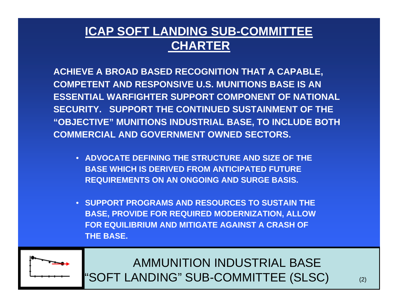### **ICAP SOFT LANDING SUB-COMMITTEE CHARTER**

**ACHIEVE A BROAD BASED RECOGNITION THAT A CAPABLE, COMPETENT AND RESPONSIVE U.S. MUNITIONS BASE IS AN ESSENTIAL WARFIGHTER SUPPORT COMPONENT OF NATIONAL SECURITY. SUPPORT THE CONTINUED SUSTAINMENT OF THE "OBJECTIVE" MUNITIONS INDUSTRIAL BASE, TO INCLUDE BOTH COMMERCIAL AND GOVERNMENT OWNED SECTORS.** 

- **ADVOCATE DEFINING THE STRUCTURE AND SIZE OF THE BASE WHICH IS DERIVED FROM ANTICIPATED FUTURE REQUIREMENTS ON AN ONGOING AND SURGE BASIS.**
- **SUPPORT PROGRAMS AND RESOURCES TO SUSTAIN THE BASE, PROVIDE FOR REQUIRED MODERNIZATION, ALLOW FOR EQUILIBRIUM AND MITIGATE AGAINST A CRASH OF THE BASE.**



AMMUNITION INDUSTRIAL BASE"SOFT LANDING" SUB-COMMITTEE (SLSC) (2)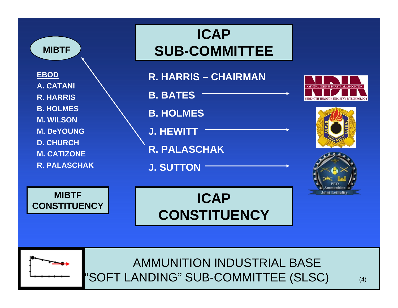

### AMMUNITION INDUSTRIAL BASE"SOFT LANDING" SUB-COMMITTEE (SLSC) (4)



# **ICAP CONSTITUENCY**



**EBOD A. CATANIR. HARRISB. HOLMESM. WILSONM. DeYOUNGD. CHURCH**

**MIBTF**

**M. CATIZONE**

**R. PALASCHAK**

# **ICAP SUB-COMMITTEE**

**R. HARRIS – CHAIRMANB. BATESB. HOLMESJ. HEWITTR. PALASCHAKJ. SUTTON**



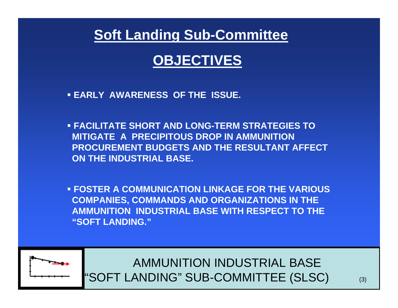### **Soft Landing Sub-Committee**

## **OBJECTIVES**

- **EARLY AWARENESS OF THE ISSUE.**
- **FACILITATE SHORT AND LONG-TERM STRATEGIES TO MITIGATE A PRECIPITOUS DROP IN AMMUNITION PROCUREMENT BUDGETS AND THE RESULTANT AFFECT ON THE INDUSTRIAL BASE.**

 **FOSTER A COMMUNICATION LINKAGE FOR THE VARIOUS COMPANIES, COMMANDS AND ORGANIZATIONS IN THE AMMUNITION INDUSTRIAL BASE WITH RESPECT TO THE "SOFT LANDING."**



AMMUNITION INDUSTRIAL BASE"SOFT LANDING" SUB-COMMITTEE (SLSC) (3)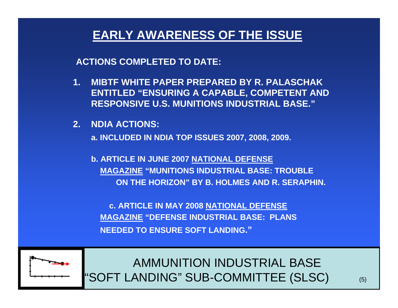#### **EARLY AWARENESS OF THE ISSUE**

**ACTIONS COMPLETED TO DATE:**

- **1. MIBTF WHITE PAPER PREPARED BY R. PALASCHAK ENTITLED "ENSURING A CAPABLE, COMPETENT AND RESPONSIVE U.S. MUNITIONS INDUSTRIAL BASE."**
- **2. NDIA ACTIONS:**

**a. INCLUDED IN NDIA TOP ISSUES 2007, 2008, 2009.** 

**b. ARTICLE IN JUNE 2007 NATIONAL DEFENSE MAGAZINE "MUNITIONS INDUSTRIAL BASE: TROUBLEON THE HORIZON" BY B. HOLMES AND R. SERAPHIN.**

**c. ARTICLE IN MAY 2008 NATIONAL DEFENSE MAGAZINE "DEFENSE INDUSTRIAL BASE: PLANS NEEDED TO ENSURE SOFT LANDING."**



AMMUNITION INDUSTRIAL BASE"SOFT LANDING" SUB-COMMITTEE (SLSC) (5)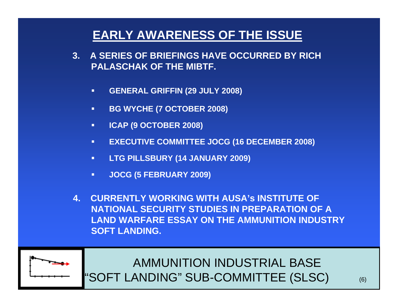### **EARLY AWARENESS OF THE ISSUE**

- **3. A SERIES OF BRIEFINGS HAVE OCCURRED BY RICH PALASCHAK OF THE MIBTF.**
	- $\blacksquare$ **GENERAL GRIFFIN (29 JULY 2008)**
	- $\blacksquare$ **BG WYCHE (7 OCTOBER 2008)**
	- $\blacksquare$ **ICAP (9 OCTOBER 2008)**
	- $\blacksquare$ **EXECUTIVE COMMITTEE JOCG (16 DECEMBER 2008)**
	- $\blacksquare$ **LTG PILLSBURY (14 JANUARY 2009)**
	- $\blacksquare$ **JOCG (5 FEBRUARY 2009)**
- **4. CURRENTLY WORKING WITH AUSA's INSTITUTE OF NATIONAL SECURITY STUDIES IN PREPARATION OF A LAND WARFARE ESSAY ON THE AMMUNITION INDUSTRY SOFT LANDING.**



AMMUNITION INDUSTRIAL BASE"SOFT LANDING" SUB-COMMITTEE (SLSC) (6)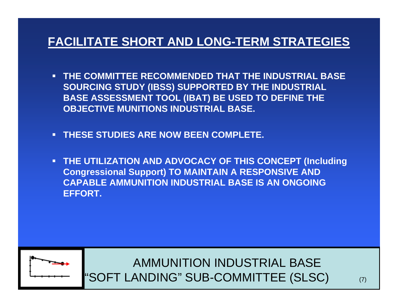#### **FACILITATE SHORT AND LONG-TERM STRATEGIES**

- П **THE COMMITTEE RECOMMENDED THAT THE INDUSTRIAL BASE SOURCING STUDY (IBSS) SUPPORTED BY THE INDUSTRIAL BASE ASSESSMENT TOOL (IBAT) BE USED TO DEFINE THE OBJECTIVE MUNITIONS INDUSTRIAL BASE.**
- **THESE STUDIES ARE NOW BEEN COMPLETE.**
- П **THE UTILIZATION AND ADVOCACY OF THIS CONCEPT (Including Congressional Support) TO MAINTAIN A RESPONSIVE AND CAPABLE AMMUNITION INDUSTRIAL BASE IS AN ONGOING EFFORT.**



AMMUNITION INDUSTRIAL BASE"SOFT LANDING" SUB-COMMITTEE (SLSC) (7)